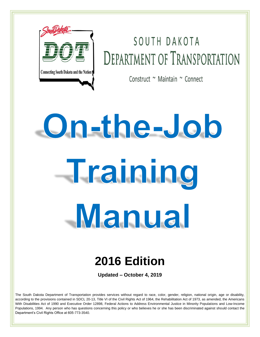

# SOUTH DAKOTA **DEPARTMENT OF TRANSPORTATION**

Construct ~ Maintain ~ Connect

# On-the-Job Training Manual

## **2016 Edition**

**Updated – October 4, 2019**

The South Dakota Department of Transportation provides services without regard to race, color, gender, religion, national origin, age or disability, according to the provisions contained in SDCL 20-13, Title VI of the Civil Rights Act of 1964, the Rehabilitation Act of 1973, as amended, the Americans With Disabilities Act of 1990 and Executive Order 12898, Federal Actions to Address Environmental Justice in Minority Populations and Low-Income Populations, 1994. Any person who has questions concerning this policy or who believes he or she has been discriminated against should contact the Department's Civil Rights Office at 605-773-3540.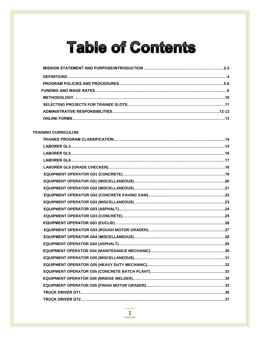# **Table of Contents**

**MISSION STATEMENT AND PURPOSE/INTRODUCTION ……..…….…………………………………………2-3**

#### **TRAINING CURRICULUM:**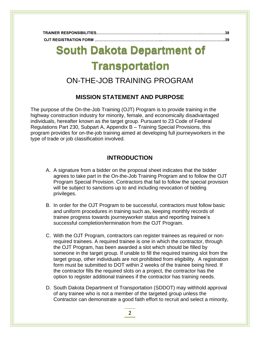| TRAINER RESPONSIBILITIES………………………………………………………………………………………38 |  |
|-------------------------------------------------------------|--|
|                                                             |  |

## **TRANSFER REGISTRATION ……………………………………………..………………….……………………....40 South Dakota Department of Transportation**

## ON-THE-JOB TRAINING PROGRAM

## **MISSION STATEMENT AND PURPOSE**

The purpose of the On-the-Job Training (OJT) Program is to provide training in the highway construction industry for minority, female, and economically disadvantaged individuals, hereafter known as the target group. Pursuant to 23 Code of Federal Regulations Part 230, Subpart A, Appendix B – Training Special Provisions, this program provides for on-the-job training aimed at developing full journeyworkers in the type of trade or job classification involved.

## **INTRODUCTION**

- A. A signature from a bidder on the proposal sheet indicates that the bidder agrees to take part in the On-the-Job Training Program and to follow the OJT Program Special Provision. Contractors that fail to follow the special provision will be subject to sanctions up to and including revocation of bidding privileges.
- B. In order for the OJT Program to be successful, contractors must follow basic and uniform procedures in training such as, keeping monthly records of trainee progress towards journeyworker status and reporting trainee's successful completion/termination from the OJT Program.
- C. With the OJT Program, contractors can register trainees as required or nonrequired trainees. A required trainee is one in which the contractor, through the OJT Program, has been awarded a slot which should be filled by someone in the target group. If unable to fill the required training slot from the target group, other individuals are not prohibited from eligibility. A registration form must be submitted to DOT within 2 weeks of the trainee being hired. If the contractor fills the required slots on a project, the contractor has the option to register additional trainees if the contractor has training needs.
- D. South Dakota Department of Transportation (SDDOT) may withhold approval of any trainee who is not a member of the targeted group unless the Contractor can demonstrate a good faith effort to recruit and select a minority,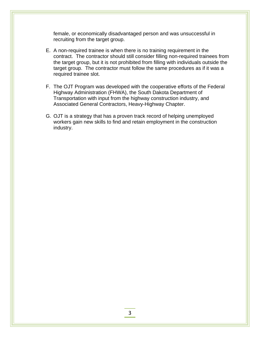female, or economically disadvantaged person and was unsuccessful in recruiting from the target group.

- E. A non-required trainee is when there is no training requirement in the contract. The contractor should still consider filling non-required trainees from the target group, but it is not prohibited from filling with individuals outside the target group. The contractor must follow the same procedures as if it was a required trainee slot.
- F. The OJT Program was developed with the cooperative efforts of the Federal Highway Administration (FHWA), the South Dakota Department of Transportation with input from the highway construction industry, and Associated General Contractors, Heavy-Highway Chapter.
- G. OJT is a strategy that has a proven track record of helping unemployed workers gain new skills to find and retain employment in the construction industry.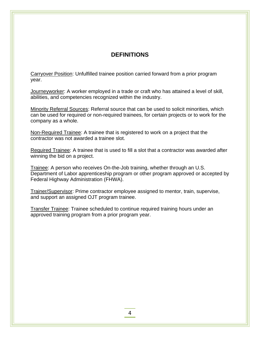## **DEFINITIONS**

Carryover Position: Unfulfilled trainee position carried forward from a prior program year.

Journeyworker: A worker employed in a trade or craft who has attained a level of skill, abilities, and competencies recognized within the industry.

Minority Referral Sources: Referral source that can be used to solicit minorities, which can be used for required or non-required trainees, for certain projects or to work for the company as a whole.

Non-Required Trainee: A trainee that is registered to work on a project that the contractor was not awarded a trainee slot.

Required Trainee: A trainee that is used to fill a slot that a contractor was awarded after winning the bid on a project.

Trainee: A person who receives On-the-Job training, whether through an U.S. Department of Labor apprenticeship program or other program approved or accepted by Federal Highway Administration (FHWA).

Trainer/Supervisor: Prime contractor employee assigned to mentor, train, supervise, and support an assigned OJT program trainee.

Transfer Trainee: Trainee scheduled to continue required training hours under an approved training program from a prior program year.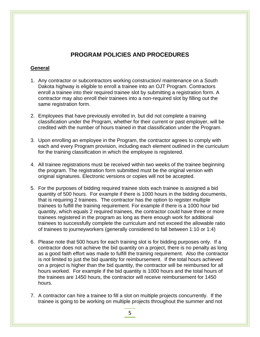## **PROGRAM POLICIES AND PROCEDURES**

## **General**

- 1. Any contractor or subcontractors working construction/ maintenance on a South Dakota highway is eligible to enroll a trainee into an OJT Program. Contractors enroll a trainee into their required trainee slot by submitting a registration form. A contractor may also enroll their trainees into a non-required slot by filling out the same registration form.
- 2. Employees that have previously enrolled in, but did not complete a training classification under the Program, whether for their current or past employer, will be credited with the number of hours trained in that classification under the Program.
- 3. Upon enrolling an employee in the Program, the contractor agrees to comply with each and every Program provision, including each element outlined in the curriculum for the training classification in which the employee is registered.
- 4. All trainee registrations must be received within two weeks of the trainee beginning the program. The registration form submitted must be the original version with original signatures. Electronic versions or copies will not be accepted.
- 5. For the purposes of bidding required trainee slots each trainee is assigned a bid quantity of 500 hours. For example if there is 1000 hours in the bidding documents, that is requiring 2 trainees. The contractor has the option to register multiple trainees to fulfill the training requirement. For example if there is a 1000 hour bid quantity, which equals 2 required trainees, the contractor could have three or more trainees registered in the program as long as there enough work for additional trainees to successfully complete the curriculum and not exceed the allowable ratio of trainees to journeyworkers (generally considered to fall between 1:10 or 1:4)
- 6. Please note that 500 hours for each training slot is for bidding purposes only. If a contractor does not achieve the bid quantity on a project, there is no penalty as long as a good faith effort was made to fulfill the training requirement. Also the contractor is not limited to just the bid quantity for reimbursement. If the total hours achieved on a project is higher than the bid quantity, the contractor will be reimbursed for all hours worked. For example if the bid quantity is 1000 hours and the total hours of the trainees are 1450 hours, the contractor will receive reimbursement for 1450 hours.
- 7. A contractor can hire a trainee to fill a slot on multiple projects concurrently. If the trainee is going to be working on multiple projects throughout the summer and not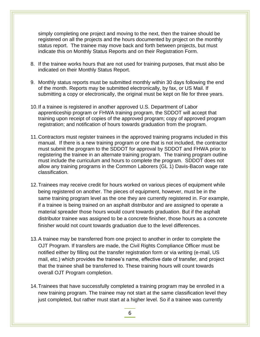simply completing one project and moving to the next, then the trainee should be registered on all the projects and the hours documented by project on the monthly status report. The trainee may move back and forth between projects, but must indicate this on Monthly Status Reports and on their Registration Form.

- 8. If the trainee works hours that are not used for training purposes, that must also be indicated on their Monthly Status Report.
- 9. Monthly status reports must be submitted monthly within 30 days following the end of the month. Reports may be submitted electronically, by fax, or US Mail. If submitting a copy or electronically, the original must be kept on file for three years.
- 10.If a trainee is registered in another approved U.S. Department of Labor apprenticeship program or FHWA training program, the SDDOT will accept that training upon receipt of copies of the approved program; copy of approved program registration; and notification of hours towards graduation from the program.
- 11.Contractors must register trainees in the approved training programs included in this manual. If there is a new training program or one that is not included, the contractor must submit the program to the SDDOT for approval by SDDOT and FHWA prior to registering the trainee in an alternate training program. The training program outline must include the curriculum and hours to complete the program. SDDOT does not allow any training programs in the Common Laborers (GL 1) Davis-Bacon wage rate classification.
- 12.Trainees may receive credit for hours worked on various pieces of equipment while being registered on another. The pieces of equipment, however, must be in the same training program level as the one they are currently registered in. For example, if a trainee is being trained on an asphalt distributor and are assigned to operate a material spreader those hours would count towards graduation. But if the asphalt distributor trainee was assigned to be a concrete finisher, those hours as a concrete finisher would not count towards graduation due to the level differences.
- 13.A trainee may be transferred from one project to another in order to complete the OJT Program. If transfers are made, the Civil Rights Compliance Officer must be notified either by filling out the transfer registration form or via writing (e-mail, US mail, etc.) which provides the trainee's name, effective date of transfer, and project that the trainee shall be transferred to. These training hours will count towards overall OJT Program completion.
- 14.Trainees that have successfully completed a training program may be enrolled in a new training program. The trainee may not start at the same classification level they just completed, but rather must start at a higher level. So if a trainee was currently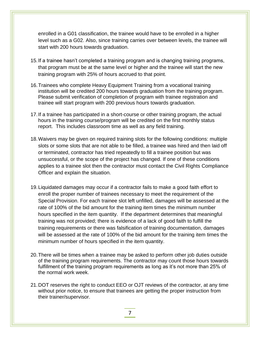enrolled in a G01 classification, the trainee would have to be enrolled in a higher level such as a G02. Also, since training carries over between levels, the trainee will start with 200 hours towards graduation.

- 15.If a trainee hasn't completed a training program and is changing training programs, that program must be at the same level or higher and the trainee will start the new training program with 25% of hours accrued to that point.
- 16.Trainees who complete Heavy Equipment Training from a vocational training institution will be credited 200 hours towards graduation from the training program. Please submit verification of completion of program with trainee registration and trainee will start program with 200 previous hours towards graduation.
- 17.If a trainee has participated in a short-course or other training program, the actual hours in the training course/program will be credited on the first monthly status report. This includes classroom time as well as any field training.
- 18.Waivers may be given on required training slots for the following conditions: multiple slots or some slots that are not able to be filled, a trainee was hired and then laid off or terminated, contractor has tried repeatedly to fill a trainee position but was unsuccessful, or the scope of the project has changed. If one of these conditions applies to a trainee slot then the contractor must contact the Civil Rights Compliance Officer and explain the situation.
- 19.Liquidated damages may occur if a contractor fails to make a good faith effort to enroll the proper number of trainees necessary to meet the requirement of the Special Provision. For each trainee slot left unfilled, damages will be assessed at the rate of 100% of the bid amount for the training item times the minimum number hours specified in the item quantity. If the department determines that meaningful training was not provided; there is evidence of a lack of good faith to fulfill the training requirements or there was falsification of training documentation, damages will be assessed at the rate of 100% of the bid amount for the training item times the minimum number of hours specified in the item quantity.
- 20.There will be times when a trainee may be asked to perform other job duties outside of the training program requirements. The contractor may count those hours towards fulfillment of the training program requirements as long as it's not more than 25% of the normal work week.
- 21.DOT reserves the right to conduct EEO or OJT reviews of the contractor, at any time without prior notice, to ensure that trainees are getting the proper instruction from their trainer/supervisor.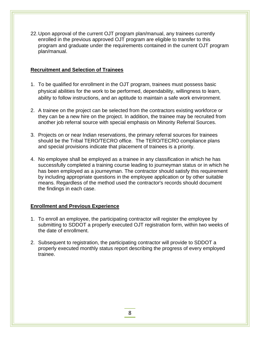22.Upon approval of the current OJT program plan/manual, any trainees currently enrolled in the previous approved OJT program are eligible to transfer to this program and graduate under the requirements contained in the current OJT program plan/manual.

## **Recruitment and Selection of Trainees**

- 1. To be qualified for enrollment in the OJT program, trainees must possess basic physical abilities for the work to be performed, dependability, willingness to learn, ability to follow instructions, and an aptitude to maintain a safe work environment.
- 2. A trainee on the project can be selected from the contractors existing workforce or they can be a new hire on the project. In addition, the trainee may be recruited from another job referral source with special emphasis on Minority Referral Sources.
- 3. Projects on or near Indian reservations, the primary referral sources for trainees should be the Tribal TERO/TECRO office. The TERO/TECRO compliance plans and special provisions indicate that placement of trainees is a priority.
- 4. No employee shall be employed as a trainee in any classification in which he has successfully completed a training course leading to journeyman status or in which he has been employed as a journeyman. The contractor should satisfy this requirement by including appropriate questions in the employee application or by other suitable means. Regardless of the method used the contractor's records should document the findings in each case.

## **Enrollment and Previous Experience**

- 1. To enroll an employee, the participating contractor will register the employee by submitting to SDDOT a properly executed OJT registration form, within two weeks of the date of enrollment.
- 2. Subsequent to registration, the participating contractor will provide to SDDOT a properly executed monthly status report describing the progress of every employed trainee.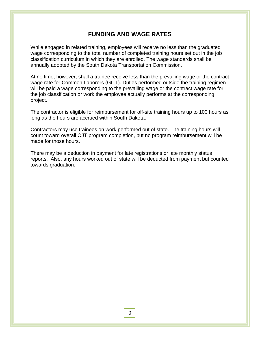## **FUNDING AND WAGE RATES**

While engaged in related training, employees will receive no less than the graduated wage corresponding to the total number of completed training hours set out in the job classification curriculum in which they are enrolled. The wage standards shall be annually adopted by the South Dakota Transportation Commission.

At no time, however, shall a trainee receive less than the prevailing wage or the contract wage rate for Common Laborers (GL 1). Duties performed outside the training regimen will be paid a wage corresponding to the prevailing wage or the contract wage rate for the job classification or work the employee actually performs at the corresponding project.

The contractor is eligible for reimbursement for off-site training hours up to 100 hours as long as the hours are accrued within South Dakota.

Contractors may use trainees on work performed out of state. The training hours will count toward overall OJT program completion, but no program reimbursement will be made for those hours.

There may be a deduction in payment for late registrations or late monthly status reports. Also, any hours worked out of state will be deducted from payment but counted towards graduation.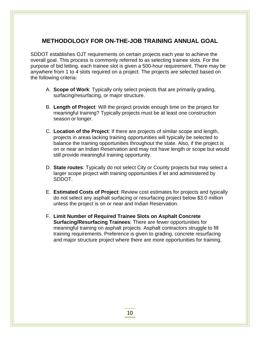## **METHODOLOGY FOR ON-THE-JOB TRAINING ANNUAL GOAL**

SDDOT establishes OJT requirements on certain projects each year to achieve the overall goal. This process is commonly referred to as selecting trainee slots. For the purpose of bid letting, each trainee slot is given a 500-hour requirement. There may be anywhere from 1 to 4 slots required on a project. The projects are selected based on the following criteria:

- A. **Scope of Work**: Typically only select projects that are primarily grading, surfacing/resurfacing, or major structure.
- B. **Length of Project**: Will the project provide enough time on the project for meaningful training? Typically projects must be at least one construction season or longer.
- C. **Location of the Project**: If there are projects of similar scope and length, projects in areas lacking training opportunities will typically be selected to balance the training opportunities throughout the state. Also, if the project is on or near an Indian Reservation and may not have length or scope but would still provide meaningful training opportunity.
- D. **State routes**: Typically do not select City or County projects but may select a larger scope project with training opportunities if let and administered by SDDOT.
- E. **Estimated Costs of Project**: Review cost estimates for projects and typically do not select any asphalt surfacing or resurfacing project below \$3.0 million unless the project is on or near and Indian Reservation.
- F. **Limit Number of Required Trainee Slots on Asphalt Concrete Surfacing/Resurfacing Trainees**: There are fewer opportunities for meaningful training on asphalt projects. Asphalt contractors struggle to fill training requirements. Preference is given to grading, concrete resurfacing and major structure project where there are more opportunities for training.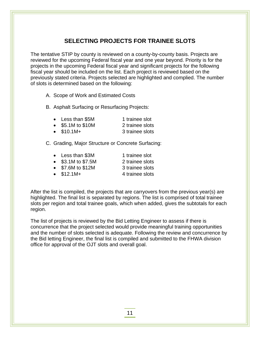## **SELECTING PROJECTS FOR TRAINEE SLOTS**

The tentative STIP by county is reviewed on a county-by-county basis. Projects are reviewed for the upcoming Federal fiscal year and one year beyond. Priority is for the projects in the upcoming Federal fiscal year and significant projects for the following fiscal year should be included on the list. Each project is reviewed based on the previously stated criteria. Projects selected are highlighted and complied. The number of slots is determined based on the following:

A. Scope of Work and Estimated Costs

B. Asphalt Surfacing or Resurfacing Projects:

| Less than \$5M  | 1 trainee slot  |
|-----------------|-----------------|
| \$5.1M to \$10M | 2 trainee slots |

• \$10.1M+ 3 trainee slots

C. Grading, Major Structure or Concrete Surfacing:

| $\bullet$ | Less than \$3M       | 1 trainee slot  |
|-----------|----------------------|-----------------|
|           | • $$3.1M$ to $$7.5M$ | 2 trainee slots |
| $\bullet$ | \$7.6M to \$12M      | 3 trainee slots |

 $\bullet$  \$12.1M+  $\bullet$  4 trainee slots

i<br>I

After the list is compiled, the projects that are carryovers from the previous year(s) are highlighted. The final list is separated by regions. The list is comprised of total trainee slots per region and total trainee goals, which when added, gives the subtotals for each region.

The list of projects is reviewed by the Bid Letting Engineer to assess if there is concurrence that the project selected would provide meaningful training opportunities and the number of slots selected is adequate. Following the review and concurrence by the Bid letting Engineer, the final list is compiled and submitted to the FHWA division office for approval of the OJT slots and overall goal.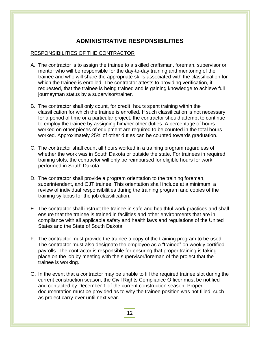## **ADMINISTRATIVE RESPONSIBILITIES**

## RESPONSIBILITIES OF THE CONTRACTOR

- A. The contractor is to assign the trainee to a skilled craftsman, foreman, supervisor or mentor who will be responsible for the day-to-day training and mentoring of the trainee and who will share the appropriate skills associated with the classification for which the trainee is enrolled. The contractor attests to providing verification, if requested, that the trainee is being trained and is gaining knowledge to achieve full journeyman status by a supervisor/trainer.
- B. The contractor shall only count, for credit, hours spent training within the classification for which the trainee is enrolled. If such classification is not necessary for a period of time or a particular project, the contractor should attempt to continue to employ the trainee by assigning him/her other duties. A percentage of hours worked on other pieces of equipment are required to be counted in the total hours worked. Approximately 25% of other duties can be counted towards graduation.
- C. The contractor shall count all hours worked in a training program regardless of whether the work was in South Dakota or outside the state. For trainees in required training slots, the contractor will only be reimbursed for eligible hours for work performed in South Dakota.
- D. The contractor shall provide a program orientation to the training foreman, superintendent, and OJT trainee. This orientation shall include at a minimum, a review of individual responsibilities during the training program and copies of the training syllabus for the job classification.
- E. The contractor shall instruct the trainee in safe and healthful work practices and shall ensure that the trainee is trained in facilities and other environments that are in compliance with all applicable safety and health laws and regulations of the United States and the State of South Dakota.
- F. The contractor must provide the trainee a copy of the training program to be used. The contractor must also designate the employee as a "trainee" on weekly certified payrolls. The contractor is responsible for ensuring that proper training is taking place on the job by meeting with the supervisor/foreman of the project that the trainee is working.
- G. In the event that a contractor may be unable to fill the required trainee slot during the current construction season, the Civil Rights Compliance Officer must be notified and contacted by December 1 of the current construction season. Proper documentation must be provided as to why the trainee position was not filled, such as project carry-over until next year.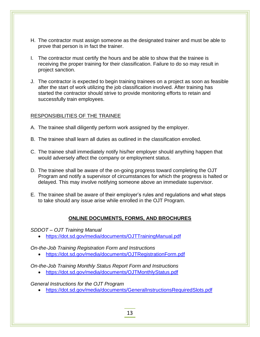- H. The contractor must assign someone as the designated trainer and must be able to prove that person is in fact the trainer.
- I. The contractor must certify the hours and be able to show that the trainee is receiving the proper training for their classification. Failure to do so may result in project sanction.
- J. The contractor is expected to begin training trainees on a project as soon as feasible after the start of work utilizing the job classification involved. After training has started the contractor should strive to provide monitoring efforts to retain and successfully train employees.

## RESPONSIBILITIES OF THE TRAINEE

- A. The trainee shall diligently perform work assigned by the employer.
- B. The trainee shall learn all duties as outlined in the classification enrolled.
- C. The trainee shall immediately notify his/her employer should anything happen that would adversely affect the company or employment status.
- D. The trainee shall be aware of the on-going progress toward completing the OJT Program and notify a supervisor of circumstances for which the progress is halted or delayed. This may involve notifying someone above an immediate supervisor.
- E. The trainee shall be aware of their employer's rules and regulations and what steps to take should any issue arise while enrolled in the OJT Program.

## **ONLINE DOCUMENTS, FORMS, AND BROCHURES**

*SDDOT – OJT Training Manual*

i<br>I

• <https://dot.sd.gov/media/documents/OJTTrainingManual.pdf>

*On-the-Job Training Registration Form and Instructions*

• <https://dot.sd.gov/media/documents/OJTRegistrationForm.pdf>

*On-the-Job Training Monthly Status Report Form and Instructions*

• <https://dot.sd.gov/media/documents/OJTMonthlyStatus.pdf>

*General Instructions for the OJT Program*

• <https://dot.sd.gov/media/documents/GeneralInstructionsRequiredSlots.pdf>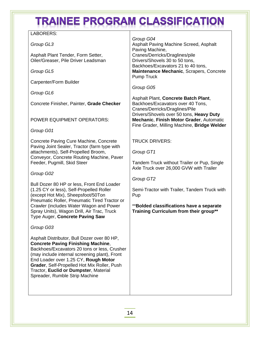# **TRAINEE PROGRAM CLASSIFICATION**

| LABORERS:                                                                                                                                                                                                                                                                                                                                                   |                                                                                                                                     |
|-------------------------------------------------------------------------------------------------------------------------------------------------------------------------------------------------------------------------------------------------------------------------------------------------------------------------------------------------------------|-------------------------------------------------------------------------------------------------------------------------------------|
| Group GL3                                                                                                                                                                                                                                                                                                                                                   | Group G04<br>Asphalt Paving Machine Screed, Asphalt<br>Paving Machine,                                                              |
| Asphalt Plant Tender, Form Setter,<br>Oiler/Greaser, Pile Driver Leadsman                                                                                                                                                                                                                                                                                   | Cranes/Derricks/Draglines/pile<br>Drivers/Shovels 30 to 50 tons,                                                                    |
| Group GL5                                                                                                                                                                                                                                                                                                                                                   | Backhoes/Excavators 21 to 40 tons,<br>Maintenance Mechanic, Scrapers, Concrete<br><b>Pump Truck</b>                                 |
| Carpenter/Form Builder                                                                                                                                                                                                                                                                                                                                      |                                                                                                                                     |
| Group GL6                                                                                                                                                                                                                                                                                                                                                   | Group G05                                                                                                                           |
| Concrete Finisher, Painter, Grade Checker                                                                                                                                                                                                                                                                                                                   | Asphalt Plant, Concrete Batch Plant,<br>Backhoes/Excavators over 40 Tons,<br>Cranes/Derricks/Draglines/Pile                         |
| POWER EQUIPMENT OPERATORS:                                                                                                                                                                                                                                                                                                                                  | Drivers/Shovels over 50 tons, Heavy Duty<br>Mechanic, Finish Motor Grader, Automatic<br>Fine Grader, Milling Machine, Bridge Welder |
| Group G01                                                                                                                                                                                                                                                                                                                                                   |                                                                                                                                     |
| Concrete Paving Cure Machine, Concrete<br>Paving Joint Sealer, Tractor (farm type with                                                                                                                                                                                                                                                                      | <b>TRUCK DRIVERS:</b>                                                                                                               |
| attachments), Self-Propelled Broom,                                                                                                                                                                                                                                                                                                                         | Group GT1                                                                                                                           |
| Conveyor, Concrete Routing Machine, Paver<br>Feeder, Pugmill, Skid Steer                                                                                                                                                                                                                                                                                    | Tandem Truck without Trailer or Pup, Single<br>Axle Truck over 26,000 GVW with Trailer                                              |
| Group G02                                                                                                                                                                                                                                                                                                                                                   |                                                                                                                                     |
| Bull Dozer 80 HP or less, Front End Loader                                                                                                                                                                                                                                                                                                                  | Group GT2                                                                                                                           |
| (1.25 CY or less), Self-Propelled Roller<br>(except Hot Mix), Sheepsfoot/50Ton<br>Pneumatic Roller, Pneumatic Tired Tractor or                                                                                                                                                                                                                              | Semi-Tractor with Trailer, Tandem Truck with<br>Pup                                                                                 |
| Crawler (includes Water Wagon and Power<br>Spray Units), Wagon Drill, Air Trac, Truck<br>Type Auger, Concrete Paving Saw                                                                                                                                                                                                                                    | ** Bolded classifications have a separate<br>Training Curriculum from their group**                                                 |
| Group G03                                                                                                                                                                                                                                                                                                                                                   |                                                                                                                                     |
| Asphalt Distributor, Bull Dozer over 80 HP,<br><b>Concrete Paving Finishing Machine,</b><br>Backhoes/Excavators 20 tons or less, Crusher<br>(may include internal screening plant), Front<br>End Loader over 1.25 CY, Rough Motor<br>Grader, Self-Propelled Hot Mix Roller, Push<br>Tractor, Euclid or Dumpster, Material<br>Spreader, Rumble Strip Machine |                                                                                                                                     |
|                                                                                                                                                                                                                                                                                                                                                             |                                                                                                                                     |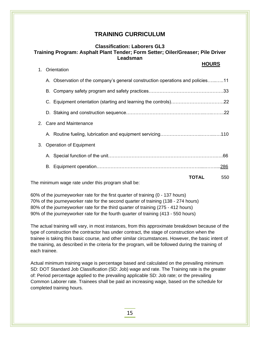## **Classification: Laborers GL3 Training Program: Asphalt Plant Tender; Form Setter; Oiler/Greaser; Pile Driver Leadsman**

|    |                                                                                | <b>HOURS</b> |  |
|----|--------------------------------------------------------------------------------|--------------|--|
| 1. | Orientation                                                                    |              |  |
|    | A. Observation of the company's general construction operations and policies11 |              |  |
|    |                                                                                |              |  |
|    |                                                                                |              |  |
|    |                                                                                |              |  |
|    | 2. Care and Maintenance                                                        |              |  |
|    |                                                                                |              |  |
| 3. | <b>Operation of Equipment</b>                                                  |              |  |
|    |                                                                                |              |  |
|    |                                                                                |              |  |
|    | The minimum wage rate under this program shall be:                             | TOTAL<br>550 |  |
|    |                                                                                |              |  |

The minimum wage rate under this program snall be:

i<br>I

60% of the journeyworker rate for the first quarter of training (0 - 137 hours) 70% of the journeyworker rate for the second quarter of training (138 - 274 hours) 80% of the journeyworker rate for the third quarter of training (275 - 412 hours) 90% of the journeyworker rate for the fourth quarter of training (413 - 550 hours)

The actual training will vary, in most instances, from this approximate breakdown because of the type of construction the contractor has under contract, the stage of construction when the trainee is taking this basic course, and other similar circumstances. However, the basic intent of the training, as described in the criteria for the program, will be followed during the training of each trainee.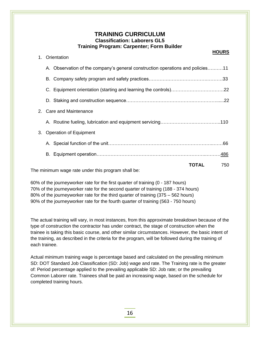## **TRAINING CURRICULUM Classification: Laborers GL5 Training Program: Carpenter; Form Builder**

**HOURS** 

|    | 1. Orientation                                                                 |       |     |
|----|--------------------------------------------------------------------------------|-------|-----|
|    | A. Observation of the company's general construction operations and policies11 |       |     |
|    |                                                                                |       |     |
|    |                                                                                |       |     |
|    |                                                                                |       |     |
|    | 2. Care and Maintenance                                                        |       |     |
|    |                                                                                |       |     |
| 3. | <b>Operation of Equipment</b>                                                  |       |     |
|    |                                                                                |       |     |
|    |                                                                                |       |     |
|    | The minimum wage rate under this pregram shall be:                             | TOTAL | 750 |
|    |                                                                                |       |     |

The minimum wage rate under this program shall be:

i<br>I

60% of the journeyworker rate for the first quarter of training (0 - 187 hours) 70% of the journeyworker rate for the second quarter of training (188 - 374 hours) 80% of the journeyworker rate for the third quarter of training (375 – 562 hours) 90% of the journeyworker rate for the fourth quarter of training (563 - 750 hours)

The actual training will vary, in most instances, from this approximate breakdown because of the type of construction the contractor has under contract, the stage of construction when the trainee is taking this basic course, and other similar circumstances. However, the basic intent of the training, as described in the criteria for the program, will be followed during the training of each trainee.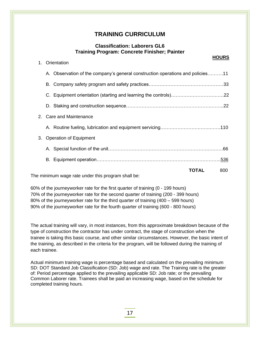## **Classification: Laborers GL6 Training Program: Concrete Finisher; Painter**

|    |                                                                                |       | <b>HOURS</b> |
|----|--------------------------------------------------------------------------------|-------|--------------|
| 1. | Orientation                                                                    |       |              |
|    | A. Observation of the company's general construction operations and policies11 |       |              |
|    |                                                                                |       |              |
|    |                                                                                |       |              |
|    |                                                                                |       |              |
|    | 2. Care and Maintenance                                                        |       |              |
|    |                                                                                |       |              |
| 3. | <b>Operation of Equipment</b>                                                  |       |              |
|    |                                                                                |       |              |
|    |                                                                                |       |              |
|    |                                                                                | TOTAL | 800          |
|    | The minimum wage rate under this program shall be:                             |       |              |

The minimum wage rate under this program shall be:

i<br>I

60% of the journeyworker rate for the first quarter of training (0 - 199 hours) 70% of the journeyworker rate for the second quarter of training (200 - 399 hours) 80% of the journeyworker rate for the third quarter of training (400 – 599 hours) 90% of the journeyworker rate for the fourth quarter of training (600 - 800 hours)

The actual training will vary, in most instances, from this approximate breakdown because of the type of construction the contractor has under contract, the stage of construction when the trainee is taking this basic course, and other similar circumstances. However, the basic intent of the training, as described in the criteria for the program, will be followed during the training of each trainee.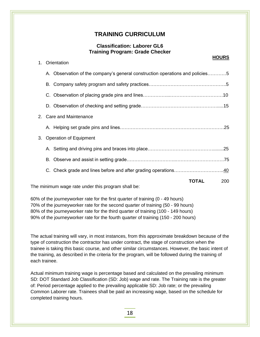## **Classification: Laborer GL6 Training Program: Grade Checker**

|    |                                                                               |       | <b>HOURS</b> |
|----|-------------------------------------------------------------------------------|-------|--------------|
| 1. | Orientation                                                                   |       |              |
|    | A. Observation of the company's general construction operations and policies5 |       |              |
|    |                                                                               |       |              |
|    |                                                                               |       |              |
|    |                                                                               |       |              |
|    | 2. Care and Maintenance                                                       |       |              |
|    |                                                                               |       |              |
| 3. | <b>Operation of Equipment</b>                                                 |       |              |
|    |                                                                               |       |              |
|    |                                                                               |       |              |
|    |                                                                               |       |              |
|    | The minimum wage rate under this program shall be:                            | TOTAL | 200          |
|    |                                                                               |       |              |

The minimum wage rate under this program shall be:

i<br>I

60% of the journeyworker rate for the first quarter of training (0 - 49 hours) 70% of the journeyworker rate for the second quarter of training (50 - 99 hours) 80% of the journeyworker rate for the third quarter of training (100 - 149 hours) 90% of the journeyworker rate for the fourth quarter of training (150 - 200 hours)

The actual training will vary, in most instances, from this approximate breakdown because of the type of construction the contractor has under contract, the stage of construction when the trainee is taking this basic course, and other similar circumstances. However, the basic intent of the training, as described in the criteria for the program, will be followed during the training of each trainee.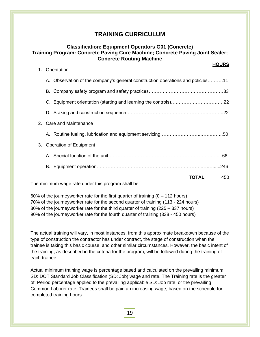## **Classification: Equipment Operators G01 (Concrete) Training Program: Concrete Paving Cure Machine; Concrete Paving Joint Sealer; Concrete Routing Machine**

|                               |       | <b>HOURS</b>                                                                   |
|-------------------------------|-------|--------------------------------------------------------------------------------|
| Orientation                   |       |                                                                                |
|                               |       |                                                                                |
|                               |       |                                                                                |
|                               |       |                                                                                |
|                               |       |                                                                                |
| <b>Care and Maintenance</b>   |       |                                                                                |
|                               |       |                                                                                |
| <b>Operation of Equipment</b> |       |                                                                                |
|                               |       |                                                                                |
|                               |       |                                                                                |
|                               | TOTAL | 450                                                                            |
| 2.                            |       | A. Observation of the company's general construction operations and policies11 |

The minimum wage rate under this program shall be:

i<br>I

60% of the journeyworker rate for the first quarter of training  $(0 - 112$  hours) 70% of the journeyworker rate for the second quarter of training (113 - 224 hours) 80% of the journeyworker rate for the third quarter of training (225 – 337 hours) 90% of the journeyworker rate for the fourth quarter of training (338 - 450 hours)

The actual training will vary, in most instances, from this approximate breakdown because of the type of construction the contractor has under contract, the stage of construction when the trainee is taking this basic course, and other similar circumstances. However, the basic intent of the training, as described in the criteria for the program, will be followed during the training of each trainee.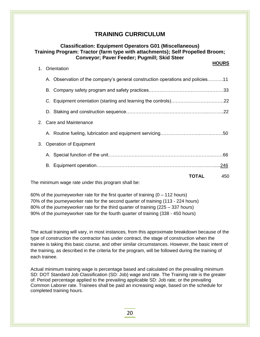## **Classification: Equipment Operators G01 (Miscellaneous) Training Program: Tractor (farm type with attachments); Self Propelled Broom; Conveyor; Paver Feeder; Pugmill; Skid Steer HOURS** 1. Orientation A. Observation of the company's general construction operations and policies……….11 B. Company safety program and safety practices…………………………………………33 C. Equipment orientation (starting and learning the controls)…………………………….22 D. Staking and construction sequence…………………………………………….………..22 2. Care and Maintenance A. Routine fueling, lubrication and equipment servicing……………………..…….……..50 3. Operation of Equipment A. Special function of the unit…………………………………………………………..……66 B. Equipment operation…………………………………………………………..….…......246  **TOTAL** 450

The minimum wage rate under this program shall be:

i<br>I

60% of the journeyworker rate for the first quarter of training  $(0 - 112$  hours) 70% of the journeyworker rate for the second quarter of training (113 - 224 hours) 80% of the journeyworker rate for the third quarter of training (225 – 337 hours) 90% of the journeyworker rate for the fourth quarter of training (338 - 450 hours)

The actual training will vary, in most instances, from this approximate breakdown because of the type of construction the contractor has under contract, the stage of construction when the trainee is taking this basic course, and other similar circumstances. However, the basic intent of the training, as described in the criteria for the program, will be followed during the training of each trainee.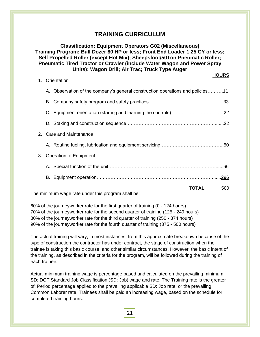**Classification: Equipment Operators G02 (Miscellaneous) Training Program: Bull Dozer 80 HP or less; Front End Loader 1.25 CY or less; Self Propelled Roller (except Hot Mix); Sheepsfoot/50Ton Pneumatic Roller; Pneumatic Tired Tractor or Crawler (include Water Wagon and Power Spray Units); Wagon Drill; Air Trac; Truck Type Auger HOURS** 

|    | 1. Orientation                                                                 |       |     |
|----|--------------------------------------------------------------------------------|-------|-----|
|    | A. Observation of the company's general construction operations and policies11 |       |     |
|    |                                                                                |       |     |
|    |                                                                                |       |     |
|    |                                                                                |       |     |
|    | 2. Care and Maintenance                                                        |       |     |
|    |                                                                                |       |     |
| 3. | <b>Operation of Equipment</b>                                                  |       |     |
|    |                                                                                |       |     |
|    |                                                                                |       |     |
|    | The minimum wage rate under this program shall be:                             | TOTAL | 500 |

60% of the journeyworker rate for the first quarter of training (0 - 124 hours) 70% of the journeyworker rate for the second quarter of training (125 - 249 hours) 80% of the journeyworker rate for the third quarter of training (250 - 374 hours) 90% of the journeyworker rate for the fourth quarter of training (375 - 500 hours)

The actual training will vary, in most instances, from this approximate breakdown because of the type of construction the contractor has under contract, the stage of construction when the trainee is taking this basic course, and other similar circumstances. However, the basic intent of the training, as described in the criteria for the program, will be followed during the training of each trainee.

Actual minimum training wage is percentage based and calculated on the prevailing minimum SD: DOT Standard Job Classification (SD: Job) wage and rate. The Training rate is the greater of: Period percentage applied to the prevailing applicable SD: Job rate; or the prevailing Common Laborer rate. Trainees shall be paid an increasing wage, based on the schedule for completed training hours.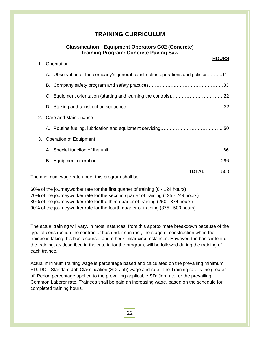## **Classification: Equipment Operators G02 (Concrete) Training Program: Concrete Paving Saw**

## **HOURS** 1. Orientation A. Observation of the company's general construction operations and policies……....11 B. Company safety program and safety practices…………………………………………33 C. Equipment orientation (starting and learning the controls)…………………………….22 D. Staking and construction sequence………………………………………………….......22 2. Care and Maintenance A. Routine fueling, lubrication and equipment servicing…………………………………..50 3. Operation of Equipment A. Special function of the unit……………………………………………………………......66 B. Equipment operation…………………………………………………………………......296  **TOTAL** 500

The minimum wage rate under this program shall be:

i<br>I

60% of the journeyworker rate for the first quarter of training (0 - 124 hours) 70% of the journeyworker rate for the second quarter of training (125 - 249 hours) 80% of the journeyworker rate for the third quarter of training (250 - 374 hours) 90% of the journeyworker rate for the fourth quarter of training (375 - 500 hours)

The actual training will vary, in most instances, from this approximate breakdown because of the type of construction the contractor has under contract, the stage of construction when the trainee is taking this basic course, and other similar circumstances. However, the basic intent of the training, as described in the criteria for the program, will be followed during the training of each trainee.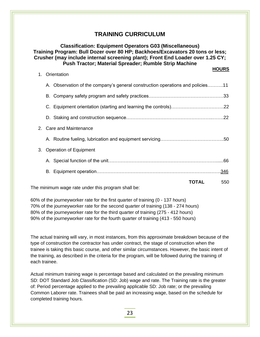| <b>Classification: Equipment Operators G03 (Miscellaneous)</b><br>Training Program: Bull Dozer over 80 HP; Backhoes/Excavators 20 tons or less;<br>Crusher (may include internal screening plant); Front End Loader over 1.25 CY;<br><b>Push Tractor; Material Spreader; Rumble Strip Machine</b> |  |  |
|---------------------------------------------------------------------------------------------------------------------------------------------------------------------------------------------------------------------------------------------------------------------------------------------------|--|--|
| <b>HOURS</b><br>Orientation<br>$1_{-}$                                                                                                                                                                                                                                                            |  |  |
| A. Observation of the company's general construction operations and policies11                                                                                                                                                                                                                    |  |  |
|                                                                                                                                                                                                                                                                                                   |  |  |
|                                                                                                                                                                                                                                                                                                   |  |  |
|                                                                                                                                                                                                                                                                                                   |  |  |
| <b>Care and Maintenance</b><br>$\mathcal{P}_{\mathcal{C}}$                                                                                                                                                                                                                                        |  |  |
|                                                                                                                                                                                                                                                                                                   |  |  |
| <b>Operation of Equipment</b><br>3.                                                                                                                                                                                                                                                               |  |  |
|                                                                                                                                                                                                                                                                                                   |  |  |
|                                                                                                                                                                                                                                                                                                   |  |  |
| <b>TOTAL</b><br>550<br>The minimum wage rate under this program shall be:                                                                                                                                                                                                                         |  |  |

60% of the journeyworker rate for the first quarter of training (0 - 137 hours) 70% of the journeyworker rate for the second quarter of training (138 - 274 hours) 80% of the journeyworker rate for the third quarter of training (275 - 412 hours) 90% of the journeyworker rate for the fourth quarter of training (413 - 550 hours)

The actual training will vary, in most instances, from this approximate breakdown because of the type of construction the contractor has under contract, the stage of construction when the trainee is taking this basic course, and other similar circumstances. However, the basic intent of the training, as described in the criteria for the program, will be followed during the training of each trainee.

Actual minimum training wage is percentage based and calculated on the prevailing minimum SD: DOT Standard Job Classification (SD: Job) wage and rate. The Training rate is the greater of: Period percentage applied to the prevailing applicable SD: Job rate; or the prevailing Common Laborer rate. Trainees shall be paid an increasing wage, based on the schedule for completed training hours.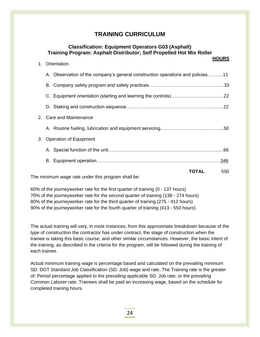#### **Classification: Equipment Operators G03 (Asphalt) Training Program: Asphalt Distributor; Self Propelled Hot Mix Roller**

|    |                                                                                |       | <b>HOURS</b> |
|----|--------------------------------------------------------------------------------|-------|--------------|
| 1. | Orientation                                                                    |       |              |
|    | A. Observation of the company's general construction operations and policies11 |       |              |
|    |                                                                                |       |              |
|    |                                                                                |       |              |
|    |                                                                                |       |              |
|    | 2. Care and Maintenance                                                        |       |              |
|    |                                                                                |       |              |
| 3. | <b>Operation of Equipment</b>                                                  |       |              |
|    |                                                                                |       |              |
|    |                                                                                |       |              |
|    | The minimum wege rate under this pregram aboll here                            | TOTAL | 550          |
|    |                                                                                |       |              |

The minimum wage rate under this program shall be:

i<br>I

60% of the journeyworker rate for the first quarter of training (0 - 137 hours) 70% of the journeyworker rate for the second quarter of training (138 - 274 hours) 80% of the journeyworker rate for the third quarter of training (275 - 412 hours) 90% of the journeyworker rate for the fourth quarter of training (413 - 550 hours)

The actual training will vary, in most instances, from this approximate breakdown because of the type of construction the contractor has under contract, the stage of construction when the trainee is taking this basic course, and other similar circumstances. However, the basic intent of the training, as described in the criteria for the program, will be followed during the training of each trainee.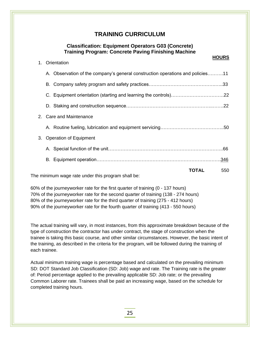## **Classification: Equipment Operators G03 (Concrete) Training Program: Concrete Paving Finishing Machine**

|    |                                                                                |       | <b>HOURS</b> |
|----|--------------------------------------------------------------------------------|-------|--------------|
| 1. | Orientation                                                                    |       |              |
|    | A. Observation of the company's general construction operations and policies11 |       |              |
|    |                                                                                |       |              |
|    |                                                                                |       |              |
|    |                                                                                |       |              |
|    | 2. Care and Maintenance                                                        |       |              |
|    |                                                                                |       |              |
| 3. | <b>Operation of Equipment</b>                                                  |       |              |
|    |                                                                                |       |              |
|    |                                                                                |       |              |
|    | The minimum wage rate under this program shall be:                             | TOTAL | 550          |
|    |                                                                                |       |              |

The minimum wage rate under this program shall be:

i<br>I

60% of the journeyworker rate for the first quarter of training (0 - 137 hours) 70% of the journeyworker rate for the second quarter of training (138 - 274 hours) 80% of the journeyworker rate for the third quarter of training (275 - 412 hours) 90% of the journeyworker rate for the fourth quarter of training (413 - 550 hours)

The actual training will vary, in most instances, from this approximate breakdown because of the type of construction the contractor has under contract, the stage of construction when the trainee is taking this basic course, and other similar circumstances. However, the basic intent of the training, as described in the criteria for the program, will be followed during the training of each trainee.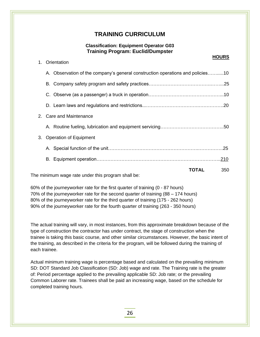#### **Classification: Equipment Operator G03 Training Program: Euclid/Dumpster**

|    |                                                                                |              | <b>HOURS</b> |
|----|--------------------------------------------------------------------------------|--------------|--------------|
| 1. | Orientation                                                                    |              |              |
|    | A. Observation of the company's general construction operations and policies10 |              |              |
|    |                                                                                |              |              |
|    |                                                                                |              |              |
|    |                                                                                |              |              |
| 2. | <b>Care and Maintenance</b>                                                    |              |              |
|    |                                                                                |              |              |
| 3. | <b>Operation of Equipment</b>                                                  |              |              |
|    |                                                                                |              |              |
|    |                                                                                |              |              |
|    |                                                                                | <b>TOTAL</b> | 350          |
|    | The minimum wage rate under this program shall be:                             |              |              |

60% of the journeyworker rate for the first quarter of training (0 - 87 hours) 70% of the journeyworker rate for the second quarter of training (88 – 174 hours) 80% of the journeyworker rate for the third quarter of training (175 - 262 hours) 90% of the journeyworker rate for the fourth quarter of training (263 - 350 hours)

The actual training will vary, in most instances, from this approximate breakdown because of the type of construction the contractor has under contract, the stage of construction when the

trainee is taking this basic course, and other similar circumstances. However, the basic intent of the training, as described in the criteria for the program, will be followed during the training of each trainee.

Actual minimum training wage is percentage based and calculated on the prevailing minimum SD: DOT Standard Job Classification (SD: Job) wage and rate. The Training rate is the greater of: Period percentage applied to the prevailing applicable SD: Job rate; or the prevailing Common Laborer rate. Trainees shall be paid an increasing wage, based on the schedule for completed training hours.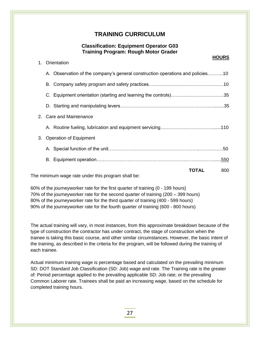## **Classification: Equipment Operator G03 Training Program: Rough Motor Grader**

|    |                                                                                |       | <b>HOURS</b> |
|----|--------------------------------------------------------------------------------|-------|--------------|
| 1. | Orientation                                                                    |       |              |
|    | A. Observation of the company's general construction operations and policies10 |       |              |
|    |                                                                                |       |              |
|    | C. Equipment orientation (starting and learning the controls)35                |       |              |
|    |                                                                                |       |              |
|    | 2. Care and Maintenance                                                        |       |              |
|    |                                                                                |       |              |
| 3. | <b>Operation of Equipment</b>                                                  |       |              |
|    |                                                                                |       |              |
|    |                                                                                |       |              |
|    | The minimum wage rate under this pregram shall be:                             | TOTAL | 800          |
|    |                                                                                |       |              |

The minimum wage rate under this program shall be:

i<br>I

60% of the journeyworker rate for the first quarter of training (0 - 199 hours) 70% of the journeyworker rate for the second quarter of training (200 – 399 hours) 80% of the journeyworker rate for the third quarter of training (400 - 599 hours) 90% of the journeyworker rate for the fourth quarter of training (600 - 800 hours)

The actual training will vary, in most instances, from this approximate breakdown because of the type of construction the contractor has under contract, the stage of construction when the trainee is taking this basic course, and other similar circumstances. However, the basic intent of the training, as described in the criteria for the program, will be followed during the training of each trainee.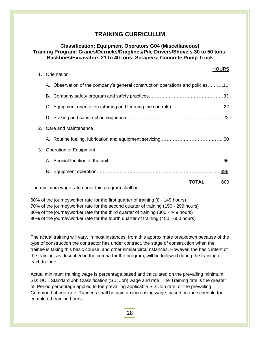### **Classification: Equipment Operators G04 (Miscellaneous) Training Program: Cranes/Derricks/Draglines/Pile Drivers/Shovels 30 to 50 tons; Backhoes/Excavators 21 to 40 tons; Scrapers; Concrete Pump Truck**

|    |                                                                                |       | <b>HOURS</b> |
|----|--------------------------------------------------------------------------------|-------|--------------|
| 1. | Orientation                                                                    |       |              |
|    | A. Observation of the company's general construction operations and policies11 |       |              |
|    |                                                                                |       |              |
|    |                                                                                |       |              |
|    |                                                                                |       |              |
|    | 2. Care and Maintenance                                                        |       |              |
|    |                                                                                |       |              |
| 3. | <b>Operation of Equipment</b>                                                  |       |              |
|    |                                                                                |       |              |
|    |                                                                                |       |              |
|    | The minimum wege rate under this pregram aboll be:                             | TOTAL | 600          |
|    |                                                                                |       |              |

The minimum wage rate under this program shall be:

i<br>I

60% of the journeyworker rate for the first quarter of training (0 - 149 hours) 70% of the journeyworker rate for the second quarter of training (150 - 299 hours) 80% of the journeyworker rate for the third quarter of training (300 - 449 hours) 90% of the journeyworker rate for the fourth quarter of training (450 - 600 hours)

The actual training will vary, in most instances, from this approximate breakdown because of the type of construction the contractor has under contract, the stage of construction when the trainee is taking this basic course, and other similar circumstances. However, the basic intent of the training, as described in the criteria for the program, will be followed during the training of each trainee.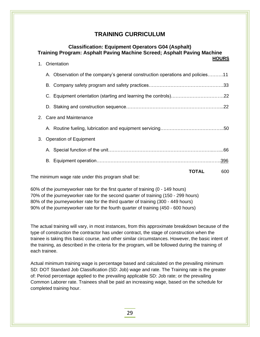|    | <b>Classification: Equipment Operators G04 (Asphalt)</b><br>Training Program: Asphalt Paving Machine Screed; Asphalt Paving Machine<br><b>HOURS</b> |  |             |  |
|----|-----------------------------------------------------------------------------------------------------------------------------------------------------|--|-------------|--|
| 1. | Orientation                                                                                                                                         |  |             |  |
|    | A. Observation of the company's general construction operations and policies11                                                                      |  |             |  |
|    |                                                                                                                                                     |  |             |  |
|    |                                                                                                                                                     |  |             |  |
|    |                                                                                                                                                     |  |             |  |
|    | 2. Care and Maintenance                                                                                                                             |  |             |  |
|    |                                                                                                                                                     |  |             |  |
| 3. | <b>Operation of Equipment</b>                                                                                                                       |  |             |  |
|    |                                                                                                                                                     |  |             |  |
|    |                                                                                                                                                     |  | <u>.396</u> |  |
|    | <b>TOTAL</b><br>The printed way were readed under this program and their                                                                            |  | 600         |  |

The minimum wage rate under this program shall be:

i<br>I

60% of the journeyworker rate for the first quarter of training (0 - 149 hours) 70% of the journeyworker rate for the second quarter of training (150 - 299 hours) 80% of the journeyworker rate for the third quarter of training (300 - 449 hours) 90% of the journeyworker rate for the fourth quarter of training (450 - 600 hours)

The actual training will vary, in most instances, from this approximate breakdown because of the type of construction the contractor has under contract, the stage of construction when the trainee is taking this basic course, and other similar circumstances. However, the basic intent of the training, as described in the criteria for the program, will be followed during the training of each trainee.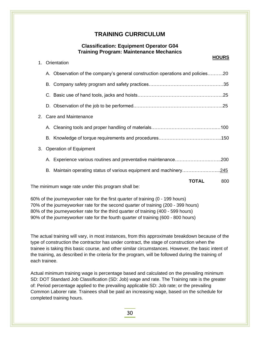## **Classification: Equipment Operator G04 Training Program: Maintenance Mechanics**

|         |    | <b>HOURS</b>                                                                   |
|---------|----|--------------------------------------------------------------------------------|
| 1.      |    | Orientation                                                                    |
|         |    | A. Observation of the company's general construction operations and policies20 |
|         | В. |                                                                                |
|         |    |                                                                                |
|         |    |                                                                                |
| $2_{-}$ |    | <b>Care and Maintenance</b>                                                    |
|         |    |                                                                                |
|         |    |                                                                                |
| 3.      |    | <b>Operation of Equipment</b>                                                  |
|         |    | A. Experience various routines and preventative maintenance<br>.200            |
|         |    | B. Maintain operating status of various equipment and machinery<br><u>.245</u> |
|         |    | <b>TOTAL</b><br>800                                                            |
|         |    | The minimum wage rate under this program shall be:                             |

60% of the journeyworker rate for the first quarter of training (0 - 199 hours) 70% of the journeyworker rate for the second quarter of training (200 - 399 hours) 80% of the journeyworker rate for the third quarter of training (400 - 599 hours) 90% of the journeyworker rate for the fourth quarter of training (600 - 800 hours)

The actual training will vary, in most instances, from this approximate breakdown because of the type of construction the contractor has under contract, the stage of construction when the trainee is taking this basic course, and other similar circumstances. However, the basic intent of the training, as described in the criteria for the program, will be followed during the training of each trainee.

Actual minimum training wage is percentage based and calculated on the prevailing minimum SD: DOT Standard Job Classification (SD: Job) wage and rate. The Training rate is the greater of: Period percentage applied to the prevailing applicable SD: Job rate; or the prevailing Common Laborer rate. Trainees shall be paid an increasing wage, based on the schedule for completed training hours.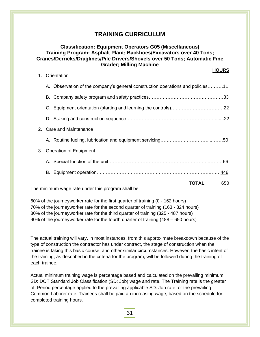## **Classification: Equipment Operators G05 (Miscellaneous) Training Program: Asphalt Plant; Backhoes/Excavators over 40 Tons; Cranes/Derricks/Draglines/Pile Drivers/Shovels over 50 Tons; Automatic Fine Grader; Milling Machine**

|    |                                                                                |              | <b>HOURS</b> |
|----|--------------------------------------------------------------------------------|--------------|--------------|
| 1. | Orientation                                                                    |              |              |
|    | A. Observation of the company's general construction operations and policies11 |              |              |
|    |                                                                                |              |              |
|    |                                                                                |              |              |
|    |                                                                                |              |              |
| 2. | <b>Care and Maintenance</b>                                                    |              |              |
|    |                                                                                |              |              |
| 3. | <b>Operation of Equipment</b>                                                  |              |              |
|    |                                                                                |              |              |
|    |                                                                                |              |              |
|    |                                                                                | <b>TOTAL</b> | 650          |
|    | The minimum wage rate under this program shall be:                             |              |              |

60% of the journeyworker rate for the first quarter of training (0 - 162 hours) 70% of the journeyworker rate for the second quarter of training (163 - 324 hours) 80% of the journeyworker rate for the third quarter of training (325 - 487 hours) 90% of the journeyworker rate for the fourth quarter of training (488 – 650 hours)

The actual training will vary, in most instances, from this approximate breakdown because of the type of construction the contractor has under contract, the stage of construction when the trainee is taking this basic course, and other similar circumstances. However, the basic intent of the training, as described in the criteria for the program, will be followed during the training of each trainee.

Actual minimum training wage is percentage based and calculated on the prevailing minimum SD: DOT Standard Job Classification (SD: Job) wage and rate. The Training rate is the greater of: Period percentage applied to the prevailing applicable SD: Job rate; or the prevailing Common Laborer rate. Trainees shall be paid an increasing wage, based on the schedule for completed training hours.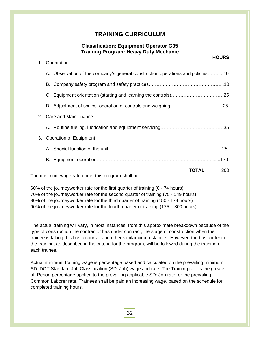## **Classification: Equipment Operator G05 Training Program: Heavy Duty Mechanic**

|    |                                                                                |              | <b>HOURS</b> |
|----|--------------------------------------------------------------------------------|--------------|--------------|
| 1. | Orientation                                                                    |              |              |
|    | A. Observation of the company's general construction operations and policies10 |              |              |
|    |                                                                                |              |              |
|    |                                                                                |              |              |
|    |                                                                                |              |              |
| 2. | <b>Care and Maintenance</b>                                                    |              |              |
|    |                                                                                |              |              |
| 3. | <b>Operation of Equipment</b>                                                  |              |              |
|    |                                                                                |              |              |
|    |                                                                                |              |              |
|    |                                                                                | <b>TOTAL</b> | 300          |
|    | The minimum wage rate under this program shall be:                             |              |              |

i<br>I

60% of the journeyworker rate for the first quarter of training (0 - 74 hours) 70% of the journeyworker rate for the second quarter of training (75 - 149 hours) 80% of the journeyworker rate for the third quarter of training (150 - 174 hours) 90% of the journeyworker rate for the fourth quarter of training (175 – 300 hours)

The actual training will vary, in most instances, from this approximate breakdown because of the type of construction the contractor has under contract, the stage of construction when the trainee is taking this basic course, and other similar circumstances. However, the basic intent of the training, as described in the criteria for the program, will be followed during the training of each trainee.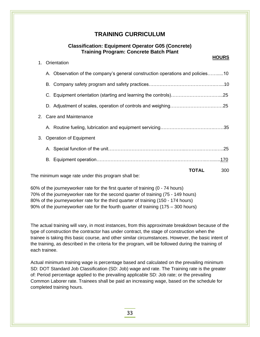## **Classification: Equipment Operator G05 (Concrete) Training Program: Concrete Batch Plant**

|    |                                                                                |              | <b>HOURS</b> |
|----|--------------------------------------------------------------------------------|--------------|--------------|
| 1. | Orientation                                                                    |              |              |
|    | A. Observation of the company's general construction operations and policies10 |              |              |
|    |                                                                                |              |              |
|    |                                                                                |              |              |
|    |                                                                                |              |              |
|    | 2. Care and Maintenance                                                        |              |              |
|    |                                                                                |              |              |
| 3. | <b>Operation of Equipment</b>                                                  |              |              |
|    |                                                                                |              |              |
|    |                                                                                |              |              |
|    |                                                                                | <b>TOTAL</b> | 300          |
|    | The minimum wage rate under this program shall be:                             |              |              |

The minimum wage rate under this program shall be:

i<br>I

60% of the journeyworker rate for the first quarter of training (0 - 74 hours) 70% of the journeyworker rate for the second quarter of training (75 - 149 hours) 80% of the journeyworker rate for the third quarter of training (150 - 174 hours) 90% of the journeyworker rate for the fourth quarter of training (175 – 300 hours)

The actual training will vary, in most instances, from this approximate breakdown because of the type of construction the contractor has under contract, the stage of construction when the trainee is taking this basic course, and other similar circumstances. However, the basic intent of the training, as described in the criteria for the program, will be followed during the training of each trainee.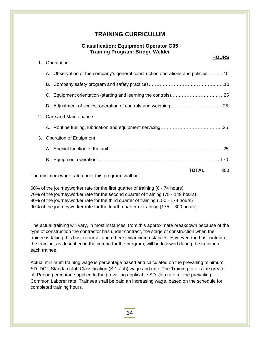## **Classification: Equipment Operator G05 Training Program: Bridge Welder**

|    |                                                                                |       | <b>HOURS</b> |
|----|--------------------------------------------------------------------------------|-------|--------------|
| 1. | Orientation                                                                    |       |              |
|    | A. Observation of the company's general construction operations and policies10 |       |              |
|    |                                                                                |       |              |
|    |                                                                                |       |              |
|    |                                                                                |       |              |
|    | 2. Care and Maintenance                                                        |       |              |
|    |                                                                                |       |              |
| 3. | <b>Operation of Equipment</b>                                                  |       |              |
|    |                                                                                |       |              |
|    |                                                                                |       |              |
|    |                                                                                | TOTAL | 300          |
|    | The minimum wage rate under this program shall be:                             |       |              |

The minimum wage rate under this program shall be:

i<br>I

60% of the journeyworker rate for the first quarter of training (0 - 74 hours) 70% of the journeyworker rate for the second quarter of training (75 - 149 hours) 80% of the journeyworker rate for the third quarter of training (150 - 174 hours) 90% of the journeyworker rate for the fourth quarter of training (175 – 300 hours)

The actual training will vary, in most instances, from this approximate breakdown because of the type of construction the contractor has under contract, the stage of construction when the trainee is taking this basic course, and other similar circumstances. However, the basic intent of the training, as described in the criteria for the program, will be followed during the training of each trainee.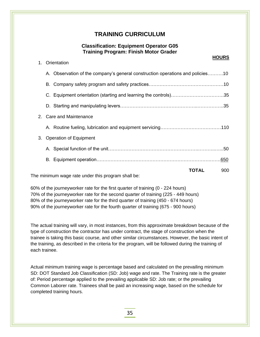## **Classification: Equipment Operator G05 Training Program: Finish Motor Grader**

|    |                                                                                | <b>HOURS</b> |
|----|--------------------------------------------------------------------------------|--------------|
| 1. | Orientation                                                                    |              |
|    | A. Observation of the company's general construction operations and policies10 |              |
|    |                                                                                |              |
|    | C. Equipment orientation (starting and learning the controls)35                |              |
|    |                                                                                |              |
|    | 2. Care and Maintenance                                                        |              |
|    |                                                                                |              |
| 3. | <b>Operation of Equipment</b>                                                  |              |
|    |                                                                                |              |
|    |                                                                                |              |
|    | The minimum wage rate under this program shall be:                             | TOTAL<br>900 |
|    |                                                                                |              |

The minimum wage rate under this program shall be:

i<br>I

60% of the journeyworker rate for the first quarter of training (0 - 224 hours) 70% of the journeyworker rate for the second quarter of training (225 - 449 hours) 80% of the journeyworker rate for the third quarter of training (450 - 674 hours) 90% of the journeyworker rate for the fourth quarter of training (675 - 900 hours)

The actual training will vary, in most instances, from this approximate breakdown because of the type of construction the contractor has under contract, the stage of construction when the trainee is taking this basic course, and other similar circumstances. However, the basic intent of the training, as described in the criteria for the program, will be followed during the training of each trainee.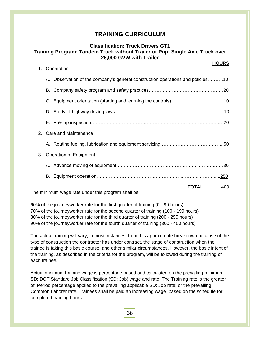## **Classification: Truck Drivers GT1 Training Program: Tandem Truck without Trailer or Pup; Single Axle Truck over 26,000 GVW with Trailer**

|         | <b>HOURS</b>                                                                   |
|---------|--------------------------------------------------------------------------------|
| 1.      | Orientation                                                                    |
|         | A. Observation of the company's general construction operations and policies10 |
|         |                                                                                |
|         |                                                                                |
|         |                                                                                |
|         |                                                                                |
| $2_{-}$ | <b>Care and Maintenance</b>                                                    |
|         |                                                                                |
| 3.      | <b>Operation of Equipment</b>                                                  |
|         |                                                                                |
|         | .250                                                                           |
|         | TOTAL<br>400                                                                   |
|         | The minimum wage rate under this program shall be:                             |

60% of the journeyworker rate for the first quarter of training (0 - 99 hours) 70% of the journeyworker rate for the second quarter of training (100 - 199 hours) 80% of the journeyworker rate for the third quarter of training (200 - 299 hours) 90% of the journeyworker rate for the fourth quarter of training (300 - 400 hours)

The actual training will vary, in most instances, from this approximate breakdown because of the type of construction the contractor has under contract, the stage of construction when the trainee is taking this basic course, and other similar circumstances. However, the basic intent of the training, as described in the criteria for the program, will be followed during the training of each trainee.

Actual minimum training wage is percentage based and calculated on the prevailing minimum SD: DOT Standard Job Classification (SD: Job) wage and rate. The Training rate is the greater of: Period percentage applied to the prevailing applicable SD: Job rate; or the prevailing Common Laborer rate. Trainees shall be paid an increasing wage, based on the schedule for completed training hours.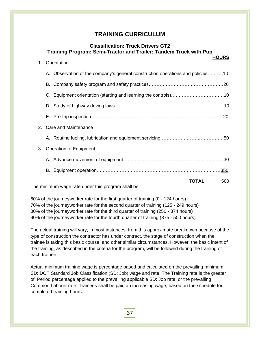## **Classification: Truck Drivers GT2 Training Program: Semi-Tractor and Trailer; Tandem Truck with Pup**

|         |                                                                                |              | <b>HOURS</b> |
|---------|--------------------------------------------------------------------------------|--------------|--------------|
| 1.      | Orientation                                                                    |              |              |
|         | A. Observation of the company's general construction operations and policies10 |              |              |
|         |                                                                                |              |              |
|         |                                                                                |              |              |
|         |                                                                                |              |              |
|         |                                                                                |              |              |
| $2_{-}$ | <b>Care and Maintenance</b>                                                    |              |              |
|         |                                                                                |              |              |
| 3.      | <b>Operation of Equipment</b>                                                  |              |              |
|         |                                                                                |              |              |
|         |                                                                                |              | . <u>350</u> |
|         |                                                                                | <b>TOTAL</b> | 500          |
|         | The minimum wage rate under this program shall be:                             |              |              |

60% of the journeyworker rate for the first quarter of training (0 - 124 hours) 70% of the journeyworker rate for the second quarter of training (125 - 249 hours) 80% of the journeyworker rate for the third quarter of training (250 - 374 hours) 90% of the journeyworker rate for the fourth quarter of training (375 - 500 hours)

The actual training will vary, in most instances, from this approximate breakdown because of the type of construction the contractor has under contract, the stage of construction when the trainee is taking this basic course, and other similar circumstances. However, the basic intent of the training, as described in the criteria for the program, will be followed during the training of each trainee.

Actual minimum training wage is percentage based and calculated on the prevailing minimum SD: DOT Standard Job Classification (SD: Job) wage and rate. The Training rate is the greater of: Period percentage applied to the prevailing applicable SD: Job rate; or the prevailing Common Laborer rate. Trainees shall be paid an increasing wage, based on the schedule for completed training hours.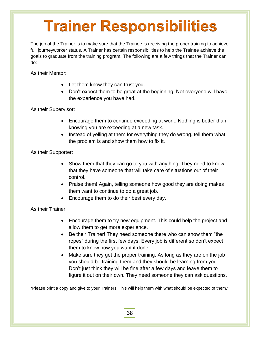# **Trainer Responsibilities**

The job of the Trainer is to make sure that the Trainee is receiving the proper training to achieve full journeyworker status. A Trainer has certain responsibilities to help the Trainee achieve the goals to graduate from the training program. The following are a few things that the Trainer can do:

As their Mentor:

- Let them know they can trust you.
- Don't expect them to be great at the beginning. Not everyone will have the experience you have had.

As their Supervisor:

- Encourage them to continue exceeding at work. Nothing is better than knowing you are exceeding at a new task.
- Instead of yelling at them for everything they do wrong, tell them what the problem is and show them how to fix it.

As their Supporter:

- Show them that they can go to you with anything. They need to know that they have someone that will take care of situations out of their control.
- Praise them! Again, telling someone how good they are doing makes them want to continue to do a great job.
- Encourage them to do their best every day.

## As their Trainer:

i<br>I

- Encourage them to try new equipment. This could help the project and allow them to get more experience.
- Be their Trainer! They need someone there who can show them "the ropes" during the first few days. Every job is different so don't expect them to know how you want it done.
- Make sure they get the proper training. As long as they are on the job you should be training them and they should be learning from you. Don't just think they will be fine after a few days and leave them to figure it out on their own. They need someone they can ask questions.

\*Please print a copy and give to your Trainers. This will help them with what should be expected of them.\*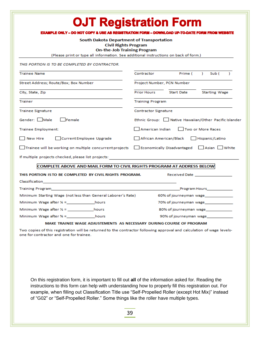| <b>OJT Registration Form</b>                                                                                                                                                                                                         |                                                                                                                      |  |  |  |  |
|--------------------------------------------------------------------------------------------------------------------------------------------------------------------------------------------------------------------------------------|----------------------------------------------------------------------------------------------------------------------|--|--|--|--|
| <b>EXAMPLE ONLY - DO NOT COPY &amp; USE AS REGISTRATION FORM - DOWNLOAD UP-TO-DATE FORM FROM WEBSITE</b><br>South Dakota Department of Transportation                                                                                |                                                                                                                      |  |  |  |  |
| <b>Civil Rights Program</b>                                                                                                                                                                                                          |                                                                                                                      |  |  |  |  |
| <b>On-the-Job Training Program</b><br>(Please print or type all information. See additional instructions on back of form.)                                                                                                           |                                                                                                                      |  |  |  |  |
| THIS PORTION IS TO BE COMPLETED BY CONTRACTOR.                                                                                                                                                                                       |                                                                                                                      |  |  |  |  |
| <b>Trainee Name</b>                                                                                                                                                                                                                  | Prime (<br>$\mathbf{L}$<br>Sub (<br>Y.<br>Contractor                                                                 |  |  |  |  |
| Street Address; Route/Box; Box Number                                                                                                                                                                                                | Project Number, PCN Number                                                                                           |  |  |  |  |
| City, State, Zip                                                                                                                                                                                                                     | Start Date Starting Wage<br>Prior Hours <b>Prior</b>                                                                 |  |  |  |  |
| Trainer                                                                                                                                                                                                                              | <b>Training Program</b>                                                                                              |  |  |  |  |
| <b>Trainee Signature</b>                                                                                                                                                                                                             | <b>Contractor Signature</b>                                                                                          |  |  |  |  |
| Gender: Male Female                                                                                                                                                                                                                  | Ethnic Group: Native Hawaiian/Other Pacific Islander                                                                 |  |  |  |  |
| Trainee Employment:                                                                                                                                                                                                                  | Two or More Races<br>American Indian                                                                                 |  |  |  |  |
| New Hire<br>Current Employee Upgrade                                                                                                                                                                                                 | African American/Black Hispanic/Latino                                                                               |  |  |  |  |
| $\Box$ Trainee will be working on multiple concurrent projects $\Box$ Economically Disadvantaged $\Box$ Asian $\Box$ White                                                                                                           |                                                                                                                      |  |  |  |  |
| If multiple projects checked, please list projects:                                                                                                                                                                                  | <u> 1989 - Johann Stein, mars an deutscher Stein und der Stein und der Stein und der Stein und der Stein und der</u> |  |  |  |  |
| <b>COMPLETE ABOVE AND MAIL FORM TO CIVIL RIGHTS PROGRAM AT ADDRESS BELOW</b>                                                                                                                                                         |                                                                                                                      |  |  |  |  |
| THIS PORTION IS TO BE COMPLETED BY CIVIL RIGHTS PROGRAM.                                                                                                                                                                             | Received Date and the control of the control of the control of the control of the control of the control of the      |  |  |  |  |
|                                                                                                                                                                                                                                      |                                                                                                                      |  |  |  |  |
| Training Program <b>and Contract Contract Contract Contract Contract Contract Contract Contract Contract Contract Contract Contract Contract Contract Contract Contract Contract Contract Contract Contract Contract Contract Co</b> |                                                                                                                      |  |  |  |  |
| Minimum Starting Wage (not less than General Laborer's Rate)<br>60% of journeyman wage_______________                                                                                                                                |                                                                                                                      |  |  |  |  |
|                                                                                                                                                                                                                                      | 70% of journeyman wage                                                                                               |  |  |  |  |
|                                                                                                                                                                                                                                      | 80% of journeyman wage_____________                                                                                  |  |  |  |  |
| Minimum Wage after % = hours                                                                                                                                                                                                         | 90% of journeyman wage                                                                                               |  |  |  |  |
| MAKE TRAINEE WAGE ADJUSTEMENTS AS NECESSARY DURING COURSE OF PROGRAM                                                                                                                                                                 |                                                                                                                      |  |  |  |  |
| Two copies of this registration will be returned to the contractor following approval and calculation of wage levels-                                                                                                                |                                                                                                                      |  |  |  |  |

one for contractor and one for trainee.

On this registration form, it is important to fill out **all** of the information asked for. Reading the instructions to this form can help with understanding how to properly fill this registration out. For example, when filling out Classification Title use "Self-Propelled Roller (except Hot Mix)" instead of "G02" or "Self-Propelled Roller." Some things like the roller have multiple types.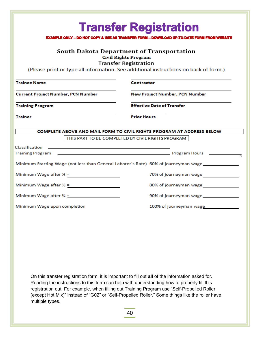|                                                                                                                                                                                                                                                                                                                                                                                                                       | <b>Transfer Registration</b>                                                                                         |  |  |  |
|-----------------------------------------------------------------------------------------------------------------------------------------------------------------------------------------------------------------------------------------------------------------------------------------------------------------------------------------------------------------------------------------------------------------------|----------------------------------------------------------------------------------------------------------------------|--|--|--|
|                                                                                                                                                                                                                                                                                                                                                                                                                       | <b>EXAMPLE ONLY - DO NOT COPY &amp; USE AS TRANSFER FORM - DOWNLOAD UP-TO-DATE FORM FROM WEBSITE</b>                 |  |  |  |
| South Dakota Department of Transportation<br><b>Civil Rights Program</b>                                                                                                                                                                                                                                                                                                                                              |                                                                                                                      |  |  |  |
|                                                                                                                                                                                                                                                                                                                                                                                                                       | <b>Transfer Registration</b><br>(Please print or type all information. See additional instructions on back of form.) |  |  |  |
|                                                                                                                                                                                                                                                                                                                                                                                                                       |                                                                                                                      |  |  |  |
| <b>Trainee Name</b>                                                                                                                                                                                                                                                                                                                                                                                                   | Contractor                                                                                                           |  |  |  |
| <b>Current Project Number, PCN Number</b>                                                                                                                                                                                                                                                                                                                                                                             | New Project Number, PCN Number                                                                                       |  |  |  |
| <b>Training Program</b>                                                                                                                                                                                                                                                                                                                                                                                               | <b>Effective Date of Transfer</b>                                                                                    |  |  |  |
| <b>Trainer</b>                                                                                                                                                                                                                                                                                                                                                                                                        | <b>Prior Hours</b>                                                                                                   |  |  |  |
|                                                                                                                                                                                                                                                                                                                                                                                                                       |                                                                                                                      |  |  |  |
|                                                                                                                                                                                                                                                                                                                                                                                                                       | COMPLETE ABOVE AND MAIL FORM TO CIVIL RIGHTS PROGRAM AT ADDRESS BELOW                                                |  |  |  |
|                                                                                                                                                                                                                                                                                                                                                                                                                       | THIS PART TO BE COMPLETED BY CIVIL RIGHTS PROGRAM                                                                    |  |  |  |
| Classification                                                                                                                                                                                                                                                                                                                                                                                                        |                                                                                                                      |  |  |  |
| Training Program                                                                                                                                                                                                                                                                                                                                                                                                      | <b>Example 2018 and Service Control Control Control Design Program Hours 2018</b>                                    |  |  |  |
|                                                                                                                                                                                                                                                                                                                                                                                                                       | Minimum Starting Wage (not less than General Laborer's Rate) 60% of journeyman wage                                  |  |  |  |
| Minimum Wage after $\frac{1}{4}$ =                                                                                                                                                                                                                                                                                                                                                                                    | 70% of journeyman wage                                                                                               |  |  |  |
| Minimum Wage after $\frac{1}{2}$ =                                                                                                                                                                                                                                                                                                                                                                                    | 80% of journeyman wage                                                                                               |  |  |  |
| Minimum Wage after $\frac{3}{4}$ =                                                                                                                                                                                                                                                                                                                                                                                    | 90% of journeyman wage                                                                                               |  |  |  |
| Minimum Wage upon completion                                                                                                                                                                                                                                                                                                                                                                                          | 100% of journeyman wage                                                                                              |  |  |  |
|                                                                                                                                                                                                                                                                                                                                                                                                                       |                                                                                                                      |  |  |  |
|                                                                                                                                                                                                                                                                                                                                                                                                                       |                                                                                                                      |  |  |  |
|                                                                                                                                                                                                                                                                                                                                                                                                                       |                                                                                                                      |  |  |  |
|                                                                                                                                                                                                                                                                                                                                                                                                                       |                                                                                                                      |  |  |  |
|                                                                                                                                                                                                                                                                                                                                                                                                                       |                                                                                                                      |  |  |  |
|                                                                                                                                                                                                                                                                                                                                                                                                                       |                                                                                                                      |  |  |  |
|                                                                                                                                                                                                                                                                                                                                                                                                                       |                                                                                                                      |  |  |  |
|                                                                                                                                                                                                                                                                                                                                                                                                                       |                                                                                                                      |  |  |  |
| On this transfer registration form, it is important to fill out all of the information asked for.<br>Reading the instructions to this form can help with understanding how to properly fill this<br>registration out. For example, when filling out Training Program use "Self-Propelled Roller<br>(except Hot Mix)" instead of "G02" or "Self-Propelled Roller." Some things like the roller have<br>multiple types. |                                                                                                                      |  |  |  |
|                                                                                                                                                                                                                                                                                                                                                                                                                       | 40                                                                                                                   |  |  |  |
|                                                                                                                                                                                                                                                                                                                                                                                                                       |                                                                                                                      |  |  |  |